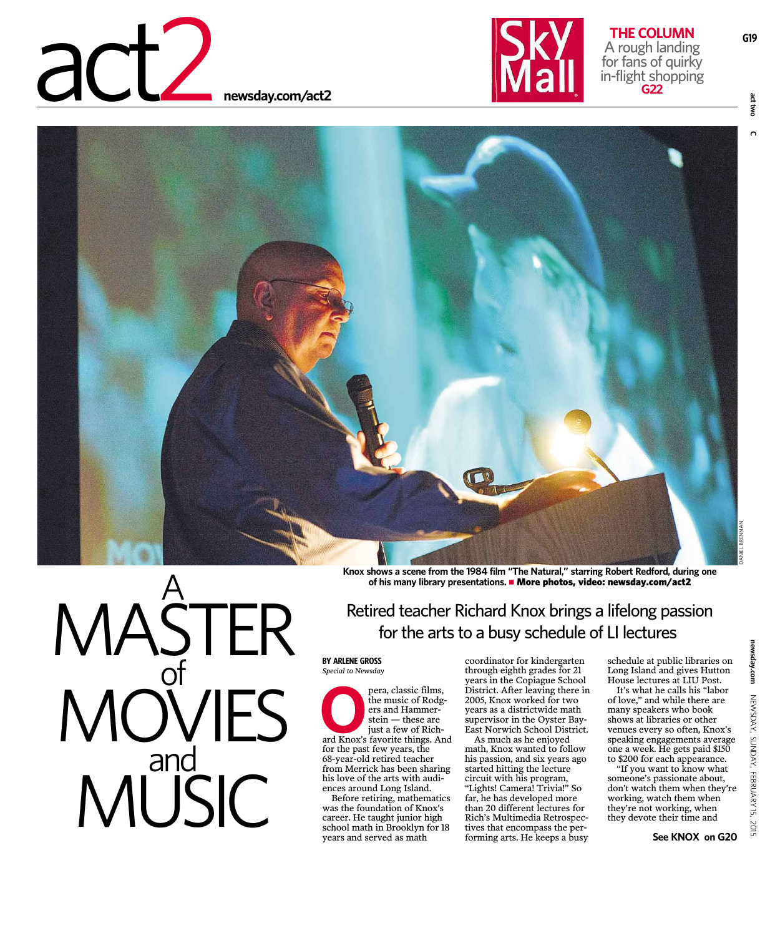



G19



MASTER<br>MOVIES<br>MUSIC

Retired teacher Richard Knox brings a lifelong passion for the arts to a busy schedule of LI lectures

**BY ARLENE GROSS** Special to Newsday

pera, classic films, the music of Rodgers and Hammer $stein -$  these are just a few of Richard Knox's favorite things. And for the past few years, the 68-year-old retired teacher from Merrick has been sharing his love of the arts with audiences around Long Island.

Before retiring, mathematics was the foundation of Knox's career. He taught junior high school math in Brooklyn for 18 years and served as math

coordinator for kindergarten through eighth grades for 21 years in the Copiague School<br>District. After leaving there in 2005. Knox worked for two years as a districtwide math supervisor in the Oyster Bay-East Norwich School District.

As much as he enjoyed math, Knox wanted to follow his passion, and six years ago started hitting the lecture circuit with his program, "Lights! Camera! Trivia!" So far, he has developed more than 20 different lectures for Rich's Multimedia Retrospectives that encompass the performing arts. He keeps a busy schedule at public libraries on Long Island and gives Hutton House lectures at LIU Post.

It's what he calls his "labor of love," and while there are many speakers who book shows at libraries or other venues every so often, Knox's speaking engagements average one a week. He gets paid \$150 to \$200 for each appearance.

"If you want to know what someone's passionate about, don't watch them when they're working, watch them when they're not working, when they devote their time and

See KNOX on G20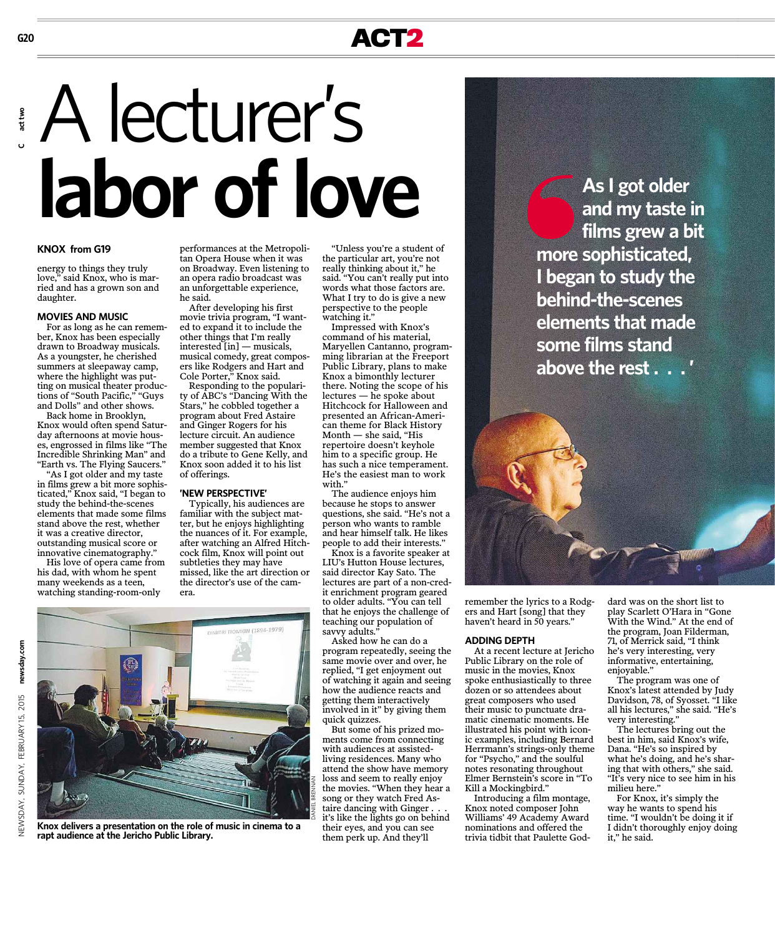# ACT2

# A lecturer's labor of love

#### **KNOX from G19**

energy to things they truly love," said Knox, who is married and has a grown son and daughter

#### **MOVIES AND MUSIC**

For as long as he can remember, Knox has been especially drawn to Broadway musicals. As a youngster, he cherished summers at sleepaway camp, where the highlight was putting on musical theater productions of "South Pacific," "Guys and Dolls" and other shows.

Back home in Brooklyn. Knox would often spend Saturday afternoons at movie houses, engrossed in films like "The Incredible Shrinking Man" and "Earth vs. The Flying Saucers."

"As I got older and my taste in films grew a bit more sophisticated," Knox said, "I began to study the behind-the-scenes elements that made some films stand above the rest, whether it was a creative director, outstanding musical score or innovative cinematography."

His love of opera came from his dad, with whom he spent many weekends as a teen, watching standing-room-only

performances at the Metropolitan Opera House when it was on Broadway. Even listening to<br>an opera radio broadcast was an unforgettable experience, he said

After developing his first movie trivia program, "I wanted to expand it to include the other things that I'm really interested  $[\text{in}]$  — musicals, musical comedy, great composers like Rodgers and Hart and Cole Porter," Knox said.

Responding to the popularity of ABC's "Dancing With the Stars," he cobbled together a program about Fred Astaire and Ginger Rogers for his lecture circuit. An audience member suggested that Knox do a tribute to Gene Kelly, and Knox soon added it to his list of offerings.

#### 'NEW PERSPECTIVE'

Typically, his audiences are familiar with the subject matter, but he enjoys highlighting the nuances of it. For example, after watching an Alfred Hitchcock film. Knox will point out subtleties they may have missed, like the art direction or the director's use of the camera.

"Unless you're a student of the particular art, you're not really thinking about it," he said. "You can't really put into words what those factors are. What I try to do is give a new perspective to the people watching it."

Impressed with Knox's command of his material, Maryellen Cantanno, programming librarian at the Freeport Public Library, plans to make Knox a bimonthly lecturer there. Noting the scope of his lectures - he spoke about Hitchcock for Halloween and presented an African-American theme for Black History  $\mathit{Month}-\mathit{she}$  said, "His repertoire doesn't keyhole him to a specific group. He has such a nice temperament. He's the easiest man to work with."

The audience enjoys him because he stops to answer questions, she said. "He's not a person who wants to ramble and hear himself talk. He likes people to add their interests.'

Knox is a favorite speaker at LIU's Hutton House lectures, said director Kay Sato. The lectures are part of a non-credit enrichment program geared to older adults. "You can tell that he enjoys the challenge of teaching our population of savvy adults.

Asked how he can do a program repeatedly, seeing the same movie over and over, he replied, "I get enjoyment out of watching it again and seeing how the audience reacts and getting them interactively<br>involved in it" by giving them quick quizzes.

But some of his prized moments come from connecting with audiences at assistedliving residences. Many who attend the show have memory loss and seem to really enjoy the movies. "When they hear a song or they watch Fred Astaire dancing with Ginger.. it's like the lights go on behind their eyes, and you can see them perk up. And they'll

As I got older and my taste in films grew a bit more sophisticated, I began to study the behind-the-scenes elements that made some films stand above the rest...



remember the lyrics to a Rodgers and Hart [song] that they haven't heard in 50 years."

#### **ADDING DEPTH**

At a recent lecture at Jericho Public Library on the role of music in the movies, Knox spoke enthusiastically to three dozen or so attendees about great composers who used their music to punctuate dramatic cinematic moments. He illustrated his point with iconic examples, including Bernard Herrmann's strings-only theme for "Psycho." and the soulful notes resonating throughout Elmer Bernstein's score in "To Kill a Mockingbird."

Introducing a film montage, Knox noted composer John Williams' 49 Academy Award nominations and offered the trivia tidbit that Paulette God-

dard was on the short list to play Scarlett O'Hara in "Gone With the Wind." At the end of the program, Joan Filderman, 71, of Merrick said, "I think he's very interesting, very informative, entertaining, enjoyable."

The program was one of Knox's latest attended by Judy Davidson, 78, of Syosset. "I like<br>all his lectures," she said. "He's very interesting."

The lectures bring out the best in him, said Knox's wife, Dana. "He's so inspired by what he's doing, and he's sharing that with others," she said. "It's very nice to see him in his milieu here."

For Knox, it's simply the way he wants to spend his time. "I wouldn't be doing it if I didn't thoroughly enjoy doing it." he said.



Knox delivers a presentation on the role of music in cinema to a rapt audience at the Jericho Public Library.